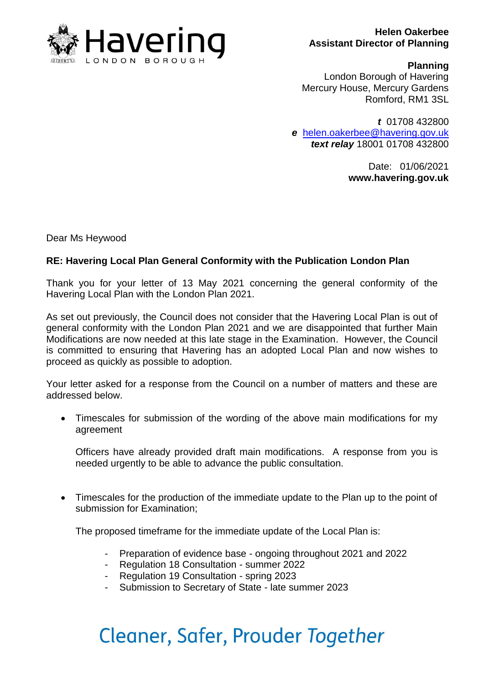

#### **Helen Oakerbee Assistant Director of Planning**

#### **Planning**

London Borough of Havering Mercury House, Mercury Gardens Romford, RM1 3SL

*t* 01708 432800 *e* [helen.oakerbee@havering.gov.uk](mailto:helen.oakerbee@havering.gov.uk) *text relay* 18001 01708 432800

> Date: 01/06/2021 **www.havering.gov.uk**

Dear Ms Heywood

### **RE: Havering Local Plan General Conformity with the Publication London Plan**

Thank you for your letter of 13 May 2021 concerning the general conformity of the Havering Local Plan with the London Plan 2021.

As set out previously, the Council does not consider that the Havering Local Plan is out of general conformity with the London Plan 2021 and we are disappointed that further Main Modifications are now needed at this late stage in the Examination. However, the Council is committed to ensuring that Havering has an adopted Local Plan and now wishes to proceed as quickly as possible to adoption.

Your letter asked for a response from the Council on a number of matters and these are addressed below.

• Timescales for submission of the wording of the above main modifications for my agreement

Officers have already provided draft main modifications. A response from you is needed urgently to be able to advance the public consultation.

 Timescales for the production of the immediate update to the Plan up to the point of submission for Examination;

The proposed timeframe for the immediate update of the Local Plan is:

- Preparation of evidence base ongoing throughout 2021 and 2022
- Regulation 18 Consultation summer 2022
- Regulation 19 Consultation spring 2023
- Submission to Secretary of State late summer 2023

## Cleaner, Safer, Prouder Together